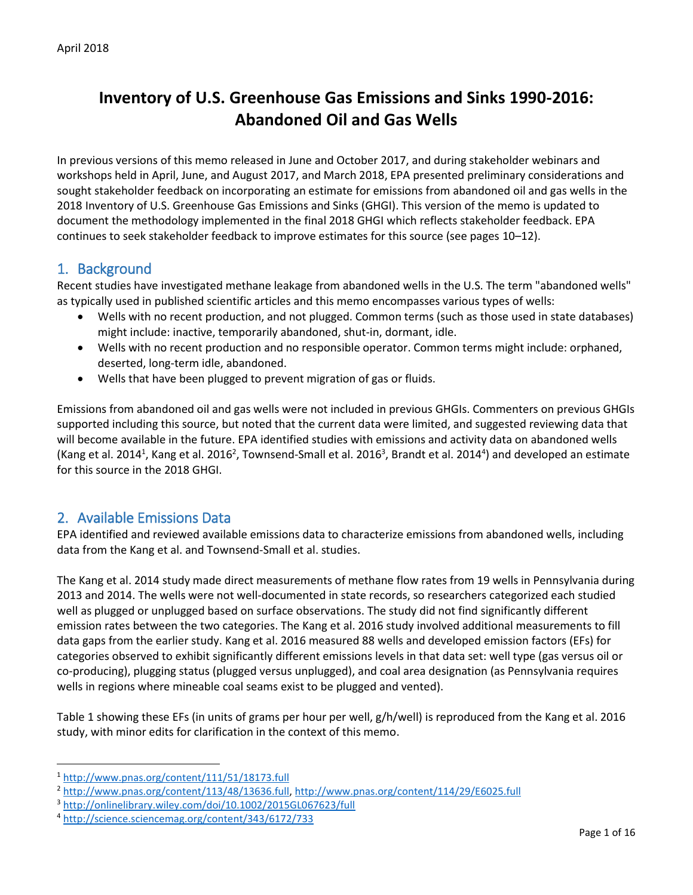# **Inventory of U.S. Greenhouse Gas Emissions and Sinks 1990-2016: Abandoned Oil and Gas Wells**

In previous versions of this memo released in June and October 2017, and during stakeholder webinars and workshops held in April, June, and August 2017, and March 2018, EPA presented preliminary considerations and sought stakeholder feedback on incorporating an estimate for emissions from abandoned oil and gas wells in the 2018 Inventory of U.S. Greenhouse Gas Emissions and Sinks (GHGI). This version of the memo is updated to document the methodology implemented in the final 2018 GHGI which reflects stakeholder feedback. EPA continues to seek stakeholder feedback to improve estimates for this source (see pages 10–12).

## 1. Background

Recent studies have investigated methane leakage from abandoned wells in the U.S. The term "abandoned wells" as typically used in published scientific articles and this memo encompasses various types of wells:

- Wells with no recent production, and not plugged. Common terms (such as those used in state databases) might include: inactive, temporarily abandoned, shut-in, dormant, idle.
- Wells with no recent production and no responsible operator. Common terms might include: orphaned, deserted, long-term idle, abandoned.
- Wells that have been plugged to prevent migration of gas or fluids.

Emissions from abandoned oil and gas wells were not included in previous GHGIs. Commenters on previous GHGIs supported including this source, but noted that the current data were limited, and suggested reviewing data that will become available in the future. EPA identified studies with emissions and activity data on abandoned wells (Kang et al. 2014<sup>1</sup>, Kang et al. 2016<sup>2</sup>, Townsend-Small et al. 2016<sup>3</sup>, Brandt et al. 2014<sup>4</sup>) and developed an estimate for this source in the 2018 GHGI.

# 2. Available Emissions Data

EPA identified and reviewed available emissions data to characterize emissions from abandoned wells, including data from the Kang et al. and Townsend-Small et al. studies.

The Kang et al. 2014 study made direct measurements of methane flow rates from 19 wells in Pennsylvania during 2013 and 2014. The wells were not well-documented in state records, so researchers categorized each studied well as plugged or unplugged based on surface observations. The study did not find significantly different emission rates between the two categories. The Kang et al. 2016 study involved additional measurements to fill data gaps from the earlier study. Kang et al. 2016 measured 88 wells and developed emission factors (EFs) for categories observed to exhibit significantly different emissions levels in that data set: well type (gas versus oil or co-producing), plugging status (plugged versus unplugged), and coal area de[signation \(as Pennsylvania requires](#page-0-0)  wells in regions where mineable coal seams exist to be plugged and vented).

[Table](#page-0-0) 1 showing these EFs (in units of grams per hour per well, g/h/well) is reproduced from the Kang et al. 2016 study, with minor edits for clarification in the context of this memo.

<span id="page-0-0"></span> $\overline{a}$ 

<sup>1</sup> <http://www.pnas.org/content/111/51/18173.full>

<sup>2</sup> [http://www.pnas.org/content/113/48/13636.full,](http://www.pnas.org/content/113/48/13636.full)<http://www.pnas.org/content/114/29/E6025.full>

<sup>3</sup> <http://onlinelibrary.wiley.com/doi/10.1002/2015GL067623/full>

<sup>4</sup> <http://science.sciencemag.org/content/343/6172/733>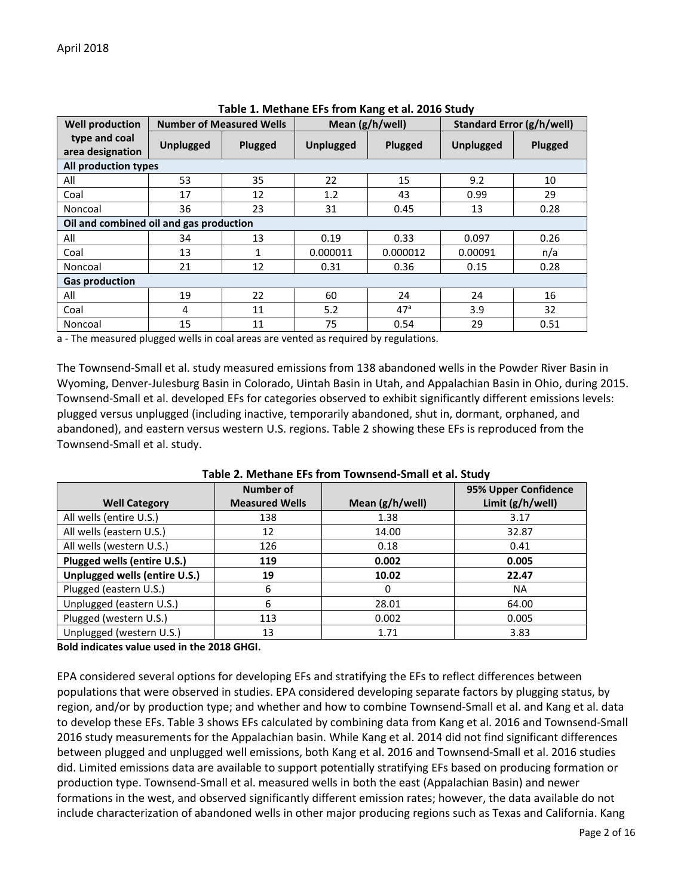| <b>Well production</b>                  |                  | <b>Number of Measured Wells</b> | Mean (g/h/well)  |                 | Standard Error (g/h/well) |         |
|-----------------------------------------|------------------|---------------------------------|------------------|-----------------|---------------------------|---------|
| type and coal<br>area designation       | <b>Unplugged</b> | Plugged                         | <b>Unplugged</b> | Plugged         | <b>Unplugged</b>          | Plugged |
| All production types                    |                  |                                 |                  |                 |                           |         |
| All                                     | 53               | 35                              | 22               | 15              | 9.2                       | 10      |
| Coal                                    | 17               | 12                              | 1.2              | 43              | 0.99                      | 29      |
| Noncoal                                 | 36               | 23                              | 31               | 0.45            | 13                        | 0.28    |
| Oil and combined oil and gas production |                  |                                 |                  |                 |                           |         |
| All                                     | 34               | 13                              | 0.19             | 0.33            | 0.097                     | 0.26    |
| Coal                                    | 13               | 1                               | 0.000011         | 0.000012        | 0.00091                   | n/a     |
| Noncoal                                 | 21               | 12                              | 0.31             | 0.36            | 0.15                      | 0.28    |
| <b>Gas production</b>                   |                  |                                 |                  |                 |                           |         |
| All                                     | 19               | 22                              | 60               | 24              | 24                        | 16      |
| Coal                                    | 4                | 11                              | 5.2              | 47 <sup>a</sup> | 3.9                       | 32      |
| Noncoal                                 | 15               | 11                              | 75               | 0.54            | 29                        | 0.51    |

| Table 1. Methane EFs from Kang et al. 2016 Study |  |  |  |  |  |
|--------------------------------------------------|--|--|--|--|--|
|--------------------------------------------------|--|--|--|--|--|

a - The measured plugged wells in coal areas are vented as required by regulations.

The Townsend-Small et al. study measured emissions from 138 abandoned wells in the Powder River Basin in Wyoming, Denver-Julesburg Basin in Colorado, Uintah Basin in Utah, and Appalachian Basin in Ohio, during 2015. Townsend-Small et al. developed EFs for categories observed to exhibit significantly different emissions levels: plugged versus unplugged (including inactive, temporarily abandoned, shut in, dormant, orphaned, and abandoned), and eastern versus western U.S. regions[. Table 2](#page-1-0) showing these EFs is reproduced from the Townsend-Small et al. study.

<span id="page-1-0"></span>

|                               | <b>Number of</b>      |                 | 95% Upper Confidence |
|-------------------------------|-----------------------|-----------------|----------------------|
| <b>Well Category</b>          | <b>Measured Wells</b> | Mean (g/h/well) | Limit (g/h/well)     |
| All wells (entire U.S.)       | 138                   | 1.38            | 3.17                 |
| All wells (eastern U.S.)      | 12                    | 14.00           | 32.87                |
| All wells (western U.S.)      | 126                   | 0.18            | 0.41                 |
| Plugged wells (entire U.S.)   | 119                   | 0.002           | 0.005                |
| Unplugged wells (entire U.S.) | 19                    | 10.02           | 22.47                |
| Plugged (eastern U.S.)        | 6                     | 0               | <b>NA</b>            |
| Unplugged (eastern U.S.)      | 6                     | 28.01           | 64.00                |
| Plugged (western U.S.)        | 113                   | 0.002           | 0.005                |
| Unplugged (western U.S.)      | 13                    | 1.71            | 3.83                 |

**Table 2. Methane EFs from Townsend-Small et al. Study**

**Bold indicates value used in the 2018 GHGI.**

EPA considered several options for developing EFs and stratifying the EFs to reflect differences between populations that were observed in studies. EPA considered developing separate factors by plugging status, by region, and/or by production type; and whether and how to combine Townsend-Small et al. and Kang et al. data to develop these EFs. [Table 3](#page-2-0) shows EFs calculated by combining data from Kang et al. 2016 and Townsend-Small 2016 study measurements for the Appalachian basin. While Kang et al. 2014 did not find significant differences between plugged and unplugged well emissions, both Kang et al. 2016 and Townsend-Small et al. 2016 studies did. Limited emissions data are available to support potentially stratifying EFs based on producing formation or production type. Townsend-Small et al. measured wells in both the east (Appalachian Basin) and newer formations in the west, and observed significantly different emission rates; however, the data available do not include characterization of abandoned wells in other major producing regions such as Texas and California. Kang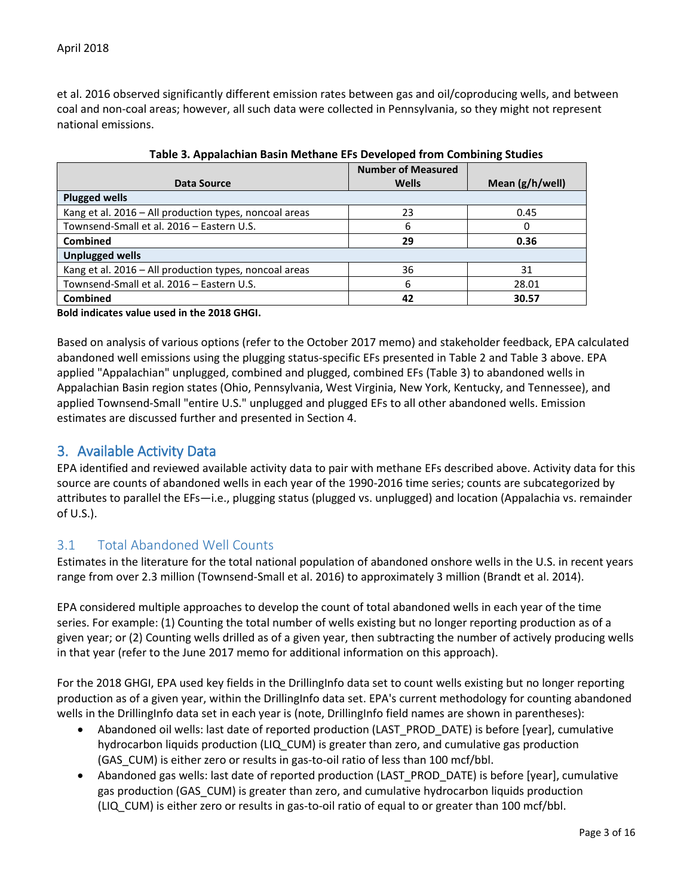et al. 2016 observed significantly different emission rates between gas and oil/coproducing wells, and between coal and non-coal areas; however, all such data were collected in Pennsylvania, so they might not represent national emissions.

<span id="page-2-0"></span>

|                                                        | <b>Number of Measured</b> |                   |
|--------------------------------------------------------|---------------------------|-------------------|
| Data Source                                            | <b>Wells</b>              | Mean $(g/h/well)$ |
| <b>Plugged wells</b>                                   |                           |                   |
| Kang et al. 2016 – All production types, noncoal areas | 23                        | 0.45              |
| Townsend-Small et al. 2016 - Eastern U.S.              | 6                         | 0                 |
| <b>Combined</b>                                        | 29                        | 0.36              |
| <b>Unplugged wells</b>                                 |                           |                   |
| Kang et al. 2016 - All production types, noncoal areas | 36                        | 31                |
| Townsend-Small et al. 2016 - Eastern U.S.              | 6                         | 28.01             |
| <b>Combined</b>                                        | 42                        | 30.57             |

|  |  | Table 3. Appalachian Basin Methane EFs Developed from Combining Studies |  |
|--|--|-------------------------------------------------------------------------|--|
|--|--|-------------------------------------------------------------------------|--|

#### **Bold indicates value used in the 2018 GHGI.**

Based on analysis of various options (refer to the October 2017 memo) and stakeholder feedback, EPA calculated abandoned well emissions using the plugging status-specific EFs presented in [Table 2](#page-1-0) and [Table 3](#page-2-0) above. EPA applied "Appalachian" unplugged, combined and plugged, combined EFs [\(Table 3\)](#page-2-0) to abandoned wells in Appalachian Basin region states (Ohio, Pennsylvania, West Virginia, New York, Kentucky, and Tennessee), and applied Townsend-Small "entire U.S." unplugged and plugged EFs to all other abandoned wells. Emission estimates are discussed further and presented in Section 4.

### 3. Available Activity Data

EPA identified and reviewed available activity data to pair with methane EFs described above. Activity data for this source are counts of abandoned wells in each year of the 1990-2016 time series; counts are subcategorized by attributes to parallel the EFs—i.e., plugging status (plugged vs. unplugged) and location (Appalachia vs. remainder of U.S.).

### 3.1 Total Abandoned Well Counts

Estimates in the literature for the total national population of abandoned onshore wells in the U.S. in recent years range from over 2.3 million (Townsend-Small et al. 2016) to approximately 3 million (Brandt et al. 2014).

EPA considered multiple approaches to develop the count of total abandoned wells in each year of the time series. For example: (1) Counting the total number of wells existing but no longer reporting production as of a given year; or (2) Counting wells drilled as of a given year, then subtracting the number of actively producing wells in that year (refer to the June 2017 memo for additional information on this approach).

For the 2018 GHGI, EPA used key fields in the DrillingInfo data set to count wells existing but no longer reporting production as of a given year, within the DrillingInfo data set. EPA's current methodology for counting abandoned wells in the DrillingInfo data set in each year is (note, DrillingInfo field names are shown in parentheses):

- Abandoned oil wells: last date of reported production (LAST\_PROD\_DATE) is before [year], cumulative hydrocarbon liquids production (LIQ\_CUM) is greater than zero, and cumulative gas production (GAS CUM) is either zero or results in gas-to-oil ratio of less than 100 mcf/bbl.
- Abandoned gas wells: last date of reported production (LAST\_PROD\_DATE) is before [year], cumulative gas production (GAS\_CUM) is greater than zero, and cumulative hydrocarbon liquids production (LIQ\_CUM) is either zero or results in gas-to-oil ratio of equal to or greater than 100 mcf/bbl.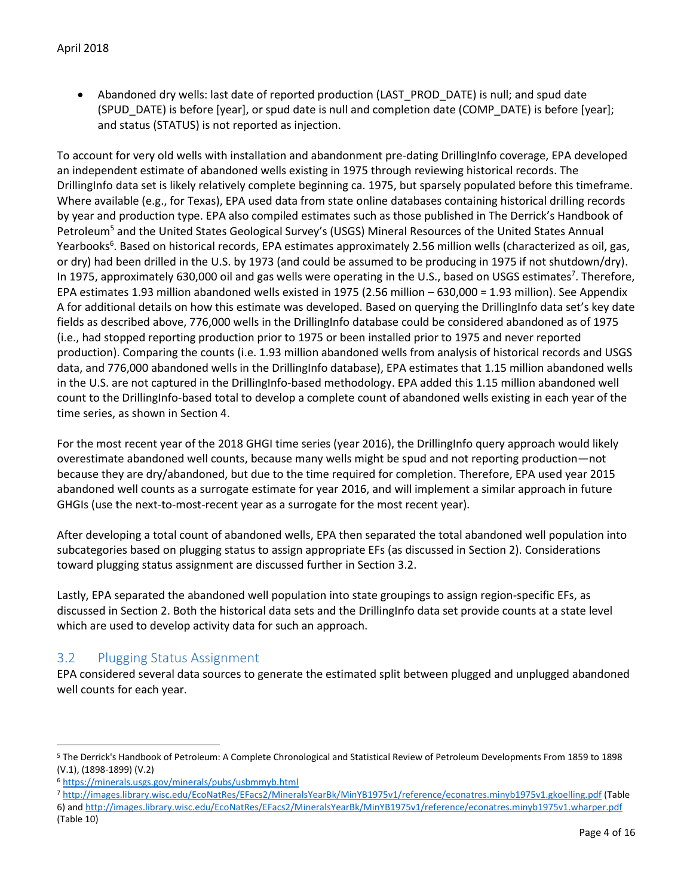• Abandoned dry wells: last date of reported production (LAST\_PROD\_DATE) is null; and spud date (SPUD\_DATE) is before [year], or spud date is null and completion date (COMP\_DATE) is before [year]; and status (STATUS) is not reported as injection.

To account for very old wells with installation and abandonment pre-dating DrillingInfo coverage, EPA developed an independent estimate of abandoned wells existing in 1975 through reviewing historical records. The DrillingInfo data set is likely relatively complete beginning ca. 1975, but sparsely populated before this timeframe. Where available (e.g., for Texas), EPA used data from state online databases containing historical drilling records by year and production type. EPA also compiled estimates such as those published in The Derrick's Handbook of Petroleum<sup>5</sup> and the United States Geological Survey's (USGS) Mineral Resources of the United States Annual Yearbooks<sup>6</sup>. Based on historical records, EPA estimates approximately 2.56 million wells (characterized as oil, gas, or dry) had been drilled in the U.S. by 1973 (and could be assumed to be producing in 1975 if not shutdown/dry). In 1975, approximately 630,000 oil and gas wells were operating in the U.S., based on USGS estimates<sup>7</sup>. Therefore, EPA estimates 1.93 million abandoned wells existed in 1975 (2.56 million – 630,000 = 1.93 million). See Appendix A for additional details on how this estimate was developed. Based on querying the DrillingInfo data set's key date fields as described above, 776,000 wells in the DrillingInfo database could be considered abandoned as of 1975 (i.e., had stopped reporting production prior to 1975 or been installed prior to 1975 and never reported production). Comparing the counts (i.e. 1.93 million abandoned wells from analysis of historical records and USGS data, and 776,000 abandoned wells in the DrillingInfo database), EPA estimates that 1.15 million abandoned wells in the U.S. are not captured in the DrillingInfo-based methodology. EPA added this 1.15 million abandoned well count to the DrillingInfo-based total to develop a complete count of abandoned wells existing in each year of the time series, as shown in Section 4.

For the most recent year of the 2018 GHGI time series (year 2016), the DrillingInfo query approach would likely overestimate abandoned well counts, because many wells might be spud and not reporting production—not because they are dry/abandoned, but due to the time required for completion. Therefore, EPA used year 2015 abandoned well counts as a surrogate estimate for year 2016, and will implement a similar approach in future GHGIs (use the next-to-most-recent year as a surrogate for the most recent year).

After developing a total count of abandoned wells, EPA then separated the total abandoned well population into subcategories based on plugging status to assign appropriate EFs (as discussed in Section 2). Considerations toward plugging status assignment are discussed further in Section 3.2.

Lastly, EPA separated the abandoned well population into state groupings to assign region-specific EFs, as discussed in Section 2. Both the historical data sets and the DrillingInfo data set provide counts at a state level which are used to develop activity data for such an approach.

### 3.2 Plugging Status Assignment

 $\overline{a}$ 

EPA considered several data sources to generate the estimated split between plugged and unplugged abandoned well counts for each year.

<sup>5</sup> The Derrick's Handbook of Petroleum: A Complete Chronological and Statistical Review of Petroleum Developments From 1859 to 1898 (V.1), (1898-1899) (V.2)

<sup>6</sup> <https://minerals.usgs.gov/minerals/pubs/usbmmyb.html>

<sup>7</sup> <http://images.library.wisc.edu/EcoNatRes/EFacs2/MineralsYearBk/MinYB1975v1/reference/econatres.minyb1975v1.gkoelling.pdf> (Table

<sup>6)</sup> an[d http://images.library.wisc.edu/EcoNatRes/EFacs2/MineralsYearBk/MinYB1975v1/reference/econatres.minyb1975v1.wharper.pdf](http://images.library.wisc.edu/EcoNatRes/EFacs2/MineralsYearBk/MinYB1975v1/reference/econatres.minyb1975v1.wharper.pdf) (Table 10)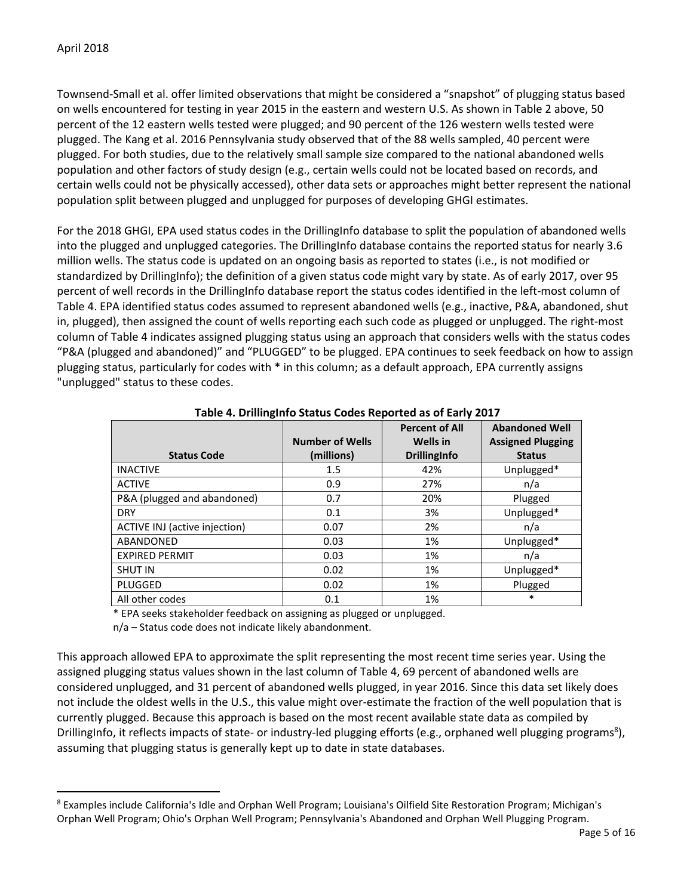$\ddot{\phantom{a}}$ 

Townsend-Small et al. offer limited observations that might be considered a "snapshot" of plugging status based on wells encountered for testing in year 2015 in the eastern and western U.S. As shown i[n Table 2](#page-1-0) above, 50 percent of the 12 eastern wells tested were plugged; and 90 percent of the 126 western wells tested were plugged. The Kang et al. 2016 Pennsylvania study observed that of the 88 wells sampled, 40 percent were plugged. For both studies, due to the relatively small sample size compared to the national abandoned wells population and other factors of study design (e.g., certain wells could not be located based on records, and certain wells could not be physically accessed), other data sets or approaches might better represent the national population split between plugged and unplugged for purposes of developing GHGI estimates.

For the 2018 GHGI, EPA used status codes in the DrillingInfo database to split the population of abandoned wells into the plugged and unplugged categories. The DrillingInfo database contains the reported status for nearly 3.6 million wells. The status code is updated on an ongoing basis as reported to states (i.e., is not modified or standardized by DrillingInfo); the definition of a given status code might vary by state. As of early 2017, over 95 percent of well records in the DrillingInfo database report the status codes identified in the left-most column of [Table 4.](#page-4-0) EPA identified status codes assumed to represent abandoned wells (e.g., inactive, P&A, abandoned, shut in, plugged), then assigned the count of wells reporting each such code as plugged or unplugged. The right-most column of [Table 4](#page-4-0) indicates assigned plugging status using an approach that considers wells with the status codes "P&A (plugged and abandoned)" and "PLUGGED" to be plugged. EPA continues to seek feedback on how to assign plugging status, particularly for codes with \* in this column; as a default approach, EPA currently assigns "unplugged" status to these codes.

| ັ                             |                        |                                          |                                                   |
|-------------------------------|------------------------|------------------------------------------|---------------------------------------------------|
|                               | <b>Number of Wells</b> | <b>Percent of All</b><br><b>Wells</b> in | <b>Abandoned Well</b><br><b>Assigned Plugging</b> |
| <b>Status Code</b>            | (millions)             | <b>DrillingInfo</b>                      | <b>Status</b>                                     |
| <b>INACTIVE</b>               | 1.5                    | 42%                                      | Unplugged*                                        |
| <b>ACTIVE</b>                 | 0.9                    | 27%                                      | n/a                                               |
| P&A (plugged and abandoned)   | 0.7                    | 20%                                      | Plugged                                           |
| <b>DRY</b>                    | 0.1                    | 3%                                       | Unplugged*                                        |
| ACTIVE INJ (active injection) | 0.07                   | 2%                                       | n/a                                               |
| ABANDONED                     | 0.03                   | 1%                                       | Unplugged*                                        |
| <b>EXPIRED PERMIT</b>         | 0.03                   | 1%                                       | n/a                                               |
| <b>SHUT IN</b>                | 0.02                   | 1%                                       | Unplugged*                                        |
| PLUGGED                       | 0.02                   | 1%                                       | Plugged                                           |
| All other codes               | 0.1                    | 1%                                       | $\ast$                                            |

<span id="page-4-0"></span>**Table 4. DrillingInfo Status Codes Reported as of Early 2017** 

\* EPA seeks stakeholder feedback on assigning as plugged or unplugged.

n/a – Status code does not indicate likely abandonment.

This approach allowed EPA to approximate the split representing the most recent time series year. Using the assigned plugging status values shown in the last column of [Table 4,](#page-4-0) 69 percent of abandoned wells are considered unplugged, and 31 percent of abandoned wells plugged, in year 2016. Since this data set likely does not include the oldest wells in the U.S., this value might over-estimate the fraction of the well population that is currently plugged. Because this approach is based on the most recent available state data as compiled by DrillingInfo, it reflects impacts of state- or industry-led plugging efforts (e.g., orphaned well plugging programs<sup>8</sup>), assuming that plugging status is generally kept up to date in state databases.

<sup>8</sup> Examples include California's Idle and Orphan Well Program; Louisiana's Oilfield Site Restoration Program; Michigan's Orphan Well Program; Ohio's Orphan Well Program; Pennsylvania's Abandoned and Orphan Well Plugging Program.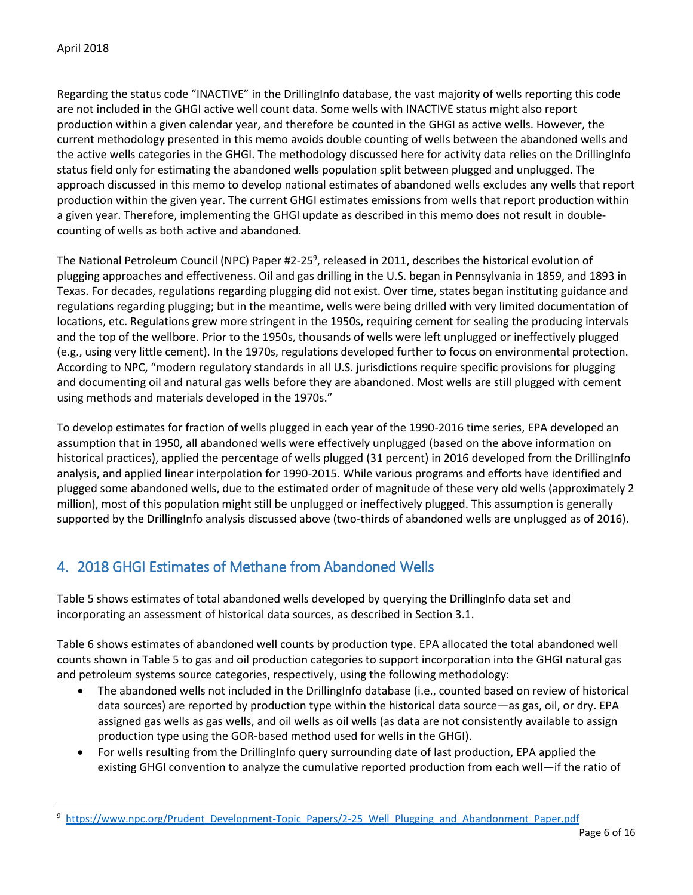$\overline{a}$ 

Regarding the status code "INACTIVE" in the DrillingInfo database, the vast majority of wells reporting this code are not included in the GHGI active well count data. Some wells with INACTIVE status might also report production within a given calendar year, and therefore be counted in the GHGI as active wells. However, the current methodology presented in this memo avoids double counting of wells between the abandoned wells and the active wells categories in the GHGI. The methodology discussed here for activity data relies on the DrillingInfo status field only for estimating the abandoned wells population split between plugged and unplugged. The approach discussed in this memo to develop national estimates of abandoned wells excludes any wells that report production within the given year. The current GHGI estimates emissions from wells that report production within a given year. Therefore, implementing the GHGI update as described in this memo does not result in doublecounting of wells as both active and abandoned.

The National Petroleum Council (NPC) Paper #2-25<sup>9</sup>, released in 2011, describes the historical evolution of plugging approaches and effectiveness. Oil and gas drilling in the U.S. began in Pennsylvania in 1859, and 1893 in Texas. For decades, regulations regarding plugging did not exist. Over time, states began instituting guidance and regulations regarding plugging; but in the meantime, wells were being drilled with very limited documentation of locations, etc. Regulations grew more stringent in the 1950s, requiring cement for sealing the producing intervals and the top of the wellbore. Prior to the 1950s, thousands of wells were left unplugged or ineffectively plugged (e.g., using very little cement). In the 1970s, regulations developed further to focus on environmental protection. According to NPC, "modern regulatory standards in all U.S. jurisdictions require specific provisions for plugging and documenting oil and natural gas wells before they are abandoned. Most wells are still plugged with cement using methods and materials developed in the 1970s."

To develop estimates for fraction of wells plugged in each year of the 1990-2016 time series, EPA developed an assumption that in 1950, all abandoned wells were effectively unplugged (based on the above information on historical practices), applied the percentage of wells plugged (31 percent) in 2016 developed from the DrillingInfo analysis, and applied linear interpolation for 1990-2015. While various programs and efforts have identified and plugged some abandoned wells, due to the estimated order of magnitude of these very old wells (approximately 2 million), most of this population might still be unplugged or ineffectively plugged. This assumption is generally supported by the DrillingInfo analysis discussed above (two-thirds of abandoned wells are unplugged as of 2016).

# 4. 2018 GHGI Estimates of Methane from Abandoned Wells

[Table 5](#page-7-0) shows estimates of total abandoned wells developed by querying the DrillingInfo data set and incorporating an assessment of historical data sources, as described in Section 3.1.

[Table 6](#page-7-1) shows estimates of abandoned well counts by production type. EPA allocated the total abandoned well counts shown i[n Table 5](#page-7-0) to gas and oil production categories to support incorporation into the GHGI natural gas and petroleum systems source categories, respectively, using the following methodology:

- The abandoned wells not included in the DrillingInfo database (i.e., counted based on review of historical data sources) are reported by production type within the historical data source—as gas, oil, or dry. EPA assigned gas wells as gas wells, and oil wells as oil wells (as data are not consistently available to assign production type using the GOR-based method used for wells in the GHGI).
- For wells resulting from the DrillingInfo query surrounding date of last production, EPA applied the existing GHGI convention to analyze the cumulative reported production from each well—if the ratio of

<sup>&</sup>lt;sup>9</sup> [https://www.npc.org/Prudent\\_Development-Topic\\_Papers/2-25\\_Well\\_Plugging\\_and\\_Abandonment\\_Paper.pdf](https://www.npc.org/Prudent_Development-Topic_Papers/2-25_Well_Plugging_and_Abandonment_Paper.pdf)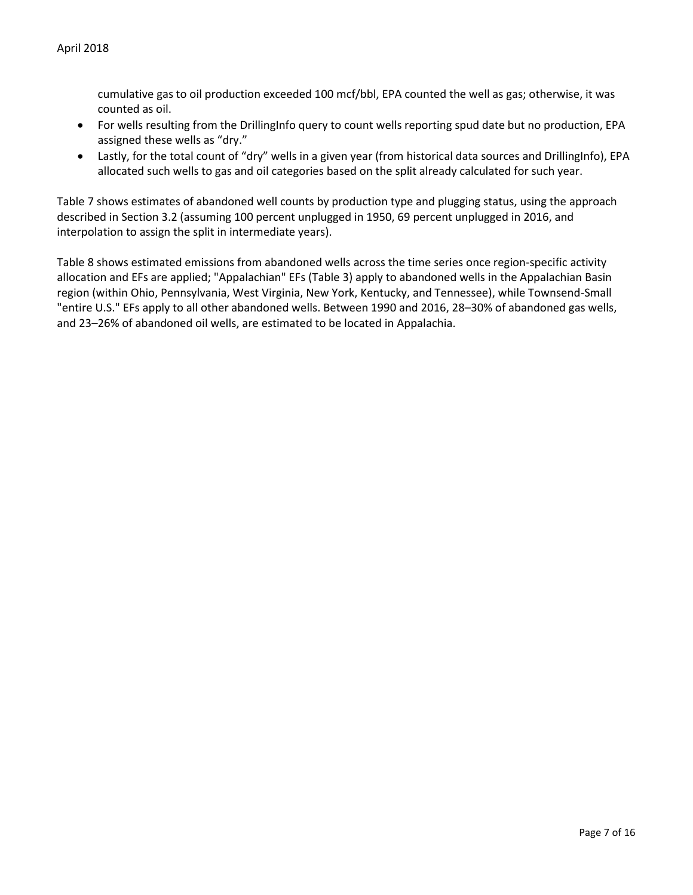cumulative gas to oil production exceeded 100 mcf/bbl, EPA counted the well as gas; otherwise, it was counted as oil.

- For wells resulting from the DrillingInfo query to count wells reporting spud date but no production, EPA assigned these wells as "dry."
- Lastly, for the total count of "dry" wells in a given year (from historical data sources and DrillingInfo), EPA allocated such wells to gas and oil categories based on the split already calculated for such year.

[Table 7](#page-7-2) shows estimates of abandoned well counts by production type and plugging status, using the approach described in Section 3.2 (assuming 100 percent unplugged in 1950, 69 percent unplugged in 2016, and interpolation to assign the split in intermediate years).

[Table 8](#page-7-3) shows estimated emissions from abandoned wells across the time series once region-specific activity allocation and EFs are applied; "Appalachian" EFs [\(Table 3\)](#page-2-0) apply to abandoned wells in the Appalachian Basin region (within Ohio, Pennsylvania, West Virginia, New York, Kentucky, and Tennessee), while Townsend-Small "entire U.S." EFs apply to all other abandoned wells. Between 1990 and 2016, 28–30% of abandoned gas wells, and 23–26% of abandoned oil wells, are estimated to be located in Appalachia.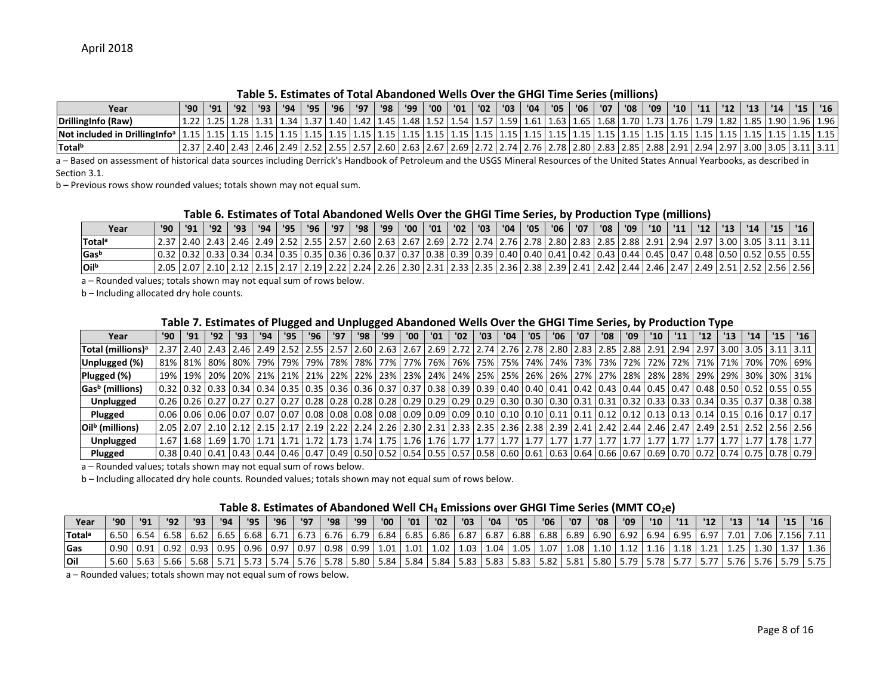#### **Table 5. Estimates of Total Abandoned Wells Over the GHGI Time Series (millions)**

| Year                                                                                                                                                                                                                                   | '90 | '91 | '92 | '93 | '94' | $-95$ | '96 | '97 | 98   '99 | '00 | '01 | $\log$ | '03 | '04 | '05 | $'06$ | '07 | '08 | '09 | $'10$ | $ 11 $ $ 12 $ | '13 | '14 I | 115 | '16                                                                                                                                                                                             |
|----------------------------------------------------------------------------------------------------------------------------------------------------------------------------------------------------------------------------------------|-----|-----|-----|-----|------|-------|-----|-----|----------|-----|-----|--------|-----|-----|-----|-------|-----|-----|-----|-------|---------------|-----|-------|-----|-------------------------------------------------------------------------------------------------------------------------------------------------------------------------------------------------|
| DrillingInfo (Raw)                                                                                                                                                                                                                     |     |     |     |     |      |       |     |     |          |     |     |        |     |     |     |       |     |     |     |       |               |     |       |     | 1.25  1.28  1.31  1.34  1.37  1.40  1.42  1.45  1.48  1.52  1.54  1.57  1.59  1.61  1.63  1.65  1.68  1.70  1.73  1.76  1.79  1.82  1.85  1.90  1.96  1.96  1.96                                |
| Not included in DrillingInfo <sup>a</sup>   1.15   1.15   1.15   1.15   1.15   1.15   1.15   1.15   1.15   1.15   1.15   1.15   1.15   1.15   1.15   1.15   1.15   1.15   1.15   1.15   1.15   1.15   1.15   1.15   1.15   1.15   1.15 |     |     |     |     |      |       |     |     |          |     |     |        |     |     |     |       |     |     |     |       |               |     |       |     |                                                                                                                                                                                                 |
| Totalb                                                                                                                                                                                                                                 |     |     |     |     |      |       |     |     |          |     |     |        |     |     |     |       |     |     |     |       |               |     |       |     | 2.37 2.94 2.97 2.97 2.98 2.91 2.97 2.98 2.91 2.97 2.98 2.97 2.58 2.97 2.58 2.57 2.55 2.55 2.57 2.60 2.63 2.67 2.69 2.72 2.74 2.76 2.78 2.80 2.83 2.85 2.88 2.91 2.94 2.97 3.00 3.05 2.11 3.11 1 |

a – Based on assessment of historical data sources including Derrick's Handbook of Petroleum and the USGS Mineral Resources of the United States Annual Yearbooks, as described in Section 3.1.

b – Previous rows show rounded values; totals shown may not equal sum.

#### **Table 6. Estimates of Total Abandoned Wells Over the GHGI Time Series, by Production Type (millions)**

| Year               |  |  |  |  |  |  |  |  |  |  |  |  |  | 16 '  14 '  12 '  12 '  12 '  11 '  10 '  100 '  107 '  106 '  107   107   107   108   109   109 '  109 '  10 '  12 '  13 '  13 '  13 '  13 '  15 '  15 '  15 '  15 '  15 '  15 '  15 '    |
|--------------------|--|--|--|--|--|--|--|--|--|--|--|--|--|--------------------------------------------------------------------------------------------------------------------------------------------------------------------------------------------|
| Total <sup>a</sup> |  |  |  |  |  |  |  |  |  |  |  |  |  | 2.37   2.40   2.43   2.46   2.49   2.52   2.55   2.57   2.60   2.63   2.67   2.69   2.72   2.74   2.76   2.78   2.80   2.83   2.85   2.88   2.91   2.94   2.97   3.00   3.05   3.11   3.11 |
| <b>Gas</b> b       |  |  |  |  |  |  |  |  |  |  |  |  |  | 0.32 0.33 0.33 0.34 0.34 0.35 0.35 0.35 0.35 0.36 0.37 0.37 0.37 0.38 0.39 0.39 0.40 0.40 0.41 0.42 0.43 0.44 0.45 0.45 0.47 0.47 0.48 0.50 0.52 0.55 0.55 0.55                            |
| <b>Oil</b> b       |  |  |  |  |  |  |  |  |  |  |  |  |  | l 2.05   2.41   2.42   2.52   2.52   2.52   2.53   2.53   2.53   2.53   2.54   2.54   2.55   2.55   2.55   2.56   2.55   2.55   2.55   2.55   2.55   2.55   2.55   2.55   2.55   2.55   2. |

a – Rounded values; totals shown may not equal sum of rows below.

<span id="page-7-0"></span>b – Including allocated dry hole counts.

#### **Table 7. Estimates of Plugged and Unplugged Abandoned Wells Over the GHGI Time Series, by Production Type**

|                               |      |     |     |     |     | ັ   |     |     | ັບ  |     |      |     |     |     |     |     |     |     |     |     |     |     |     |     |     |     |                                                                                                                                                                                    |
|-------------------------------|------|-----|-----|-----|-----|-----|-----|-----|-----|-----|------|-----|-----|-----|-----|-----|-----|-----|-----|-----|-----|-----|-----|-----|-----|-----|------------------------------------------------------------------------------------------------------------------------------------------------------------------------------------|
| Year                          | '90' | '91 | '92 | '93 | '94 | '95 | '96 | '97 | '98 | '99 | '00' | '01 | '02 | '03 | '04 | '05 | '06 | '07 | '08 | '09 | '10 | '11 | '12 | '13 | '14 | '15 | '16                                                                                                                                                                                |
| Total (millions) <sup>a</sup> |      |     |     |     |     |     |     |     |     |     |      |     |     |     |     |     |     |     |     |     |     |     |     |     |     |     | 2.37 2.91 2.94 2.97 2.94 2.97 2.94 2.97 2.94 2.97 2.91 2.97 2.67 2.67 2.69 2.72 2.72 2.74 2.75 2.78 2.80 2.83 2.85 2.88 2.91 2.94 2.97 3.00 3.05 3.11 3.11                         |
| Unplugged (%)                 |      |     |     |     |     |     |     |     |     |     |      |     |     |     |     |     |     |     |     |     |     |     |     |     |     |     | 81%   81%   80%   80%   70%   70%   70%   78%   78%   77%   77%   76%   76%   76%   75%   74%   74%   73%   73%   72%   72%   72%   71%   71%   71%   70%   70%   69%              |
| Plugged (%)                   |      |     |     |     |     |     |     |     |     |     |      |     |     |     |     |     |     |     |     |     |     |     |     |     |     |     | 19%   19%   20%   20%   21%   21%   21%   22%   23%   23%   23%   24%   24%   25%   25%   26%   26%   27%   27%   28%   28%   28%   29%   29%   30%   30%   30%   31%              |
| Gas <sup>b</sup> (millions)   |      |     |     |     |     |     |     |     |     |     |      |     |     |     |     |     |     |     |     |     |     |     |     |     |     |     | 0.32 0.33 0.34 0.50 0.52 0.34 0.35 0.35 0.35 0.36 0.36 0.37 0.37 0.37 0.38 0.39 0.39 0.40 0.40 0.41 0.42 0.43 0.44 0.45 0.47 0.45 0.47 0.48 0.50 0.52 0.55 0.55 0.55               |
| <b>Unplugged</b>              |      |     |     |     |     |     |     |     |     |     |      |     |     |     |     |     |     |     |     |     |     |     |     |     |     |     | 0.28 0.27 0.27 0.27 0.27 0.28 0.28 0.28 0.28 0.28 0.29 0.29 0.29 0.29 0.29 0.30 0.30 0.30 0.31 0.31 0.31 0.32 0.33 0.33 0.33 0.34 0.35 0.37 0.38 0.38 0.38                         |
| Plugged                       |      |     |     |     |     |     |     |     |     |     |      |     |     |     |     |     |     |     |     |     |     |     |     |     |     |     | 0.06  0.06  0.06  0.07  0.07  0.07  0.07  0.08  0.08  0.08  0.08  0.09  0.09  0.09  0.00  0.10  0.10  0.11  0.11  0.11  0.12  0.12  0.13  0.13  0.13  0.14  0.15  0.16  0.17  0.17 |
| Oil <sup>b</sup> (millions)   |      |     |     |     |     |     |     |     |     |     |      |     |     |     |     |     |     |     |     |     |     |     |     |     |     |     | 2.66 2.56 2.57 2.47 2.49 2.41 2.49 2.44 2.46 2.47 2.49 2.51 2.53 2.55 2.35 2.35 2.39 2.39 2.41 2.42 2.44 2.46 2.47 2.49 2.51 2.52 2.56 2.56 2.56                                   |
| <b>Unplugged</b>              | 1.67 |     |     |     |     |     |     |     |     |     |      |     |     |     |     |     |     |     |     |     |     |     |     |     |     |     |                                                                                                                                                                                    |
| Plugged                       |      |     |     |     |     |     |     |     |     |     |      |     |     |     |     |     |     |     |     |     |     |     |     |     |     |     | 0.78 0.79 0.70 0.61 0.66 0.67 0.69 0.67 0.69 0.67 0.69 0.60 0.61 0.68 0.69 1.0.58 0.60 0.61 0.68 0.64 0.66 0.67 0.69 0.70 0.72 0.74 0.75 0.78 0.78 0.79                            |

<span id="page-7-1"></span>a – Rounded values; totals shown may not equal sum of rows below.

b – Including allocated dry hole counts. Rounded values; totals shown may not equal sum of rows below.

#### **Table 8. Estimates of Abandoned Well CH<sup>4</sup> Emissions over GHGI Time Series (MMT CO2e)**

<span id="page-7-2"></span>

| Year               | '90'                                                                                                                                                                                                                                                                                                                          | '91 | '92 | '93 | '94 | '95' | '96 | $^{\circ}$ 97 $^{\circ}$ | '98 | '99 | '00 l | $\sqrt{01}$ | '02 | '03 | '04 | '05 | '06 | '07 | '08 | '09 | '10 | '11 | 12 | $-13$                                                                                                                                                                               | 14 | '15'        | '16 |
|--------------------|-------------------------------------------------------------------------------------------------------------------------------------------------------------------------------------------------------------------------------------------------------------------------------------------------------------------------------|-----|-----|-----|-----|------|-----|--------------------------|-----|-----|-------|-------------|-----|-----|-----|-----|-----|-----|-----|-----|-----|-----|----|-------------------------------------------------------------------------------------------------------------------------------------------------------------------------------------|----|-------------|-----|
| Total <sup>a</sup> | 6.50   6.54   6.58   6.62   6.65   6.68   6.71   6.73   6.76   6.79   6.84   6.85   6.86   6.87   6.87   6.88   6.88   6.89   6.90   6.92   6.94   6.95   6.97   7.01   7.06   7.156   7.11                                                                                                                                   |     |     |     |     |      |     |                          |     |     |       |             |     |     |     |     |     |     |     |     |     |     |    |                                                                                                                                                                                     |    |             |     |
| Gas                | $\mid 0.90 \mid 0.91 \mid 0.92 \mid 0.93 \mid 0.95 \mid 0.96 \mid 0.97 \mid 0.98 \mid 0.99 \mid 1.01 \mid 1.01 \mid 1.02 \mid 1.03 \mid 1.04 \mid 1.05 \mid 1.07 \mid 1.08 \mid 1.10 \mid 1.12 \mid 1.16 \mid 1.18 \mid 1.21 \mid 1.25 \mid 1.30 \mid 1.30 \mid 1.37 \mid 1.38 \mid 1.39 \mid 1.39 \mid 1.39 \mid 1.30 \mid $ |     |     |     |     |      |     |                          |     |     |       |             |     |     |     |     |     |     |     |     |     |     |    |                                                                                                                                                                                     |    | $1.37$ 1.36 |     |
| Oil                |                                                                                                                                                                                                                                                                                                                               |     |     |     |     |      |     |                          |     |     |       |             |     |     |     |     |     |     |     |     |     |     |    | 5.60   5.63   5.66   5.68   5.71   5.73   5.74   5.76   5.78   5.80   5.84   5.84   5.84   5.83   5.83   5.82   5.81   5.80   5.79   5.78   5.77   5.77   5.76   5.76   5.79   5.75 |    |             |     |

<span id="page-7-3"></span>a – Rounded values; totals shown may not equal sum of rows below.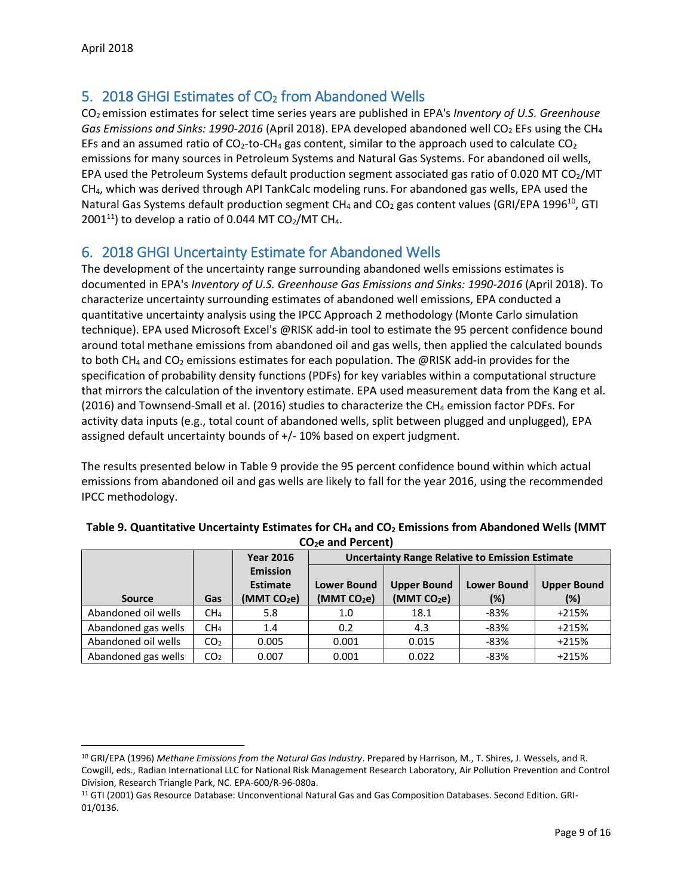$\overline{a}$ 

## 5. 2018 GHGI Estimates of CO<sub>2</sub> from Abandoned Wells

CO<sup>2</sup> emission estimates for select time series years are published in EPA's *Inventory of U.S. Greenhouse Gas Emissions and Sinks: 1990-2016* (April 2018). EPA developed abandoned well CO<sup>2</sup> EFs using the CH<sup>4</sup> EFs and an assumed ratio of CO<sub>2</sub>-to-CH<sub>4</sub> gas content, similar to the approach used to calculate CO<sub>2</sub> emissions for many sources in Petroleum Systems and Natural Gas Systems. For abandoned oil wells, EPA used the Petroleum Systems default production segment associated gas ratio of 0.020 MT CO<sub>2</sub>/MT CH4, which was derived through API TankCalc modeling runs. For abandoned gas wells, EPA used the Natural Gas Systems default production segment CH<sub>4</sub> and CO<sub>2</sub> gas content values (GRI/EPA 1996<sup>10</sup>, GTI 2001<sup>11</sup>) to develop a ratio of 0.044 MT CO<sub>2</sub>/MT CH<sub>4</sub>.

### 6. 2018 GHGI Uncertainty Estimate for Abandoned Wells

The development of the uncertainty range surrounding abandoned wells emissions estimates is documented in EPA's *Inventory of U.S. Greenhouse Gas Emissions and Sinks: 1990-2016* (April 2018). To characterize uncertainty surrounding estimates of abandoned well emissions, EPA conducted a quantitative uncertainty analysis using the IPCC Approach 2 methodology (Monte Carlo simulation technique). EPA used Microsoft Excel's @RISK add-in tool to estimate the 95 percent confidence bound around total methane emissions from abandoned oil and gas wells, then applied the calculated bounds to both CH<sub>4</sub> and CO<sub>2</sub> emissions estimates for each population. The @RISK add-in provides for the specification of probability density functions (PDFs) for key variables within a computational structure that mirrors the calculation of the inventory estimate. EPA used measurement data from the Kang et al. (2016) and Townsend-Small et al. (2016) studies to characterize the  $CH_4$  emission factor PDFs. For activity data inputs (e.g., total count of abandoned wells, split between plugged and unplugged), EPA assigned default uncertainty bounds of +/- 10% based on expert judgment.

The results presented below in [Table 9](#page-8-0) provide the 95 percent confidence bound within which actual emissions from abandoned oil and gas wells are likely to fall for the year 2016, using the recommended IPCC methodology.

|                     |                 | <b>Year 2016</b>                                              |                                               | <b>Uncertainty Range Relative to Emission Estimate</b> |                              |                           |
|---------------------|-----------------|---------------------------------------------------------------|-----------------------------------------------|--------------------------------------------------------|------------------------------|---------------------------|
| <b>Source</b>       | Gas             | <b>Emission</b><br><b>Estimate</b><br>(MMT CO <sub>2</sub> e) | <b>Lower Bound</b><br>(MMT CO <sub>2</sub> e) | <b>Upper Bound</b><br>(MMT CO <sub>2</sub> e)          | <b>Lower Bound</b><br>$(\%)$ | <b>Upper Bound</b><br>(%) |
| Abandoned oil wells | CH <sub>4</sub> | 5.8                                                           | 1.0                                           | 18.1                                                   | -83%                         | $+215%$                   |
| Abandoned gas wells | CH <sub>4</sub> | 1.4                                                           | 0.2                                           | 4.3                                                    | -83%                         | $+215%$                   |
| Abandoned oil wells | CO <sub>2</sub> | 0.005                                                         | 0.001                                         | 0.015                                                  | -83%                         | $+215%$                   |
| Abandoned gas wells | CO <sub>2</sub> | 0.007                                                         | 0.001                                         | 0.022                                                  | $-83%$                       | $+215%$                   |

<span id="page-8-0"></span>

| Table 9. Quantitative Uncertainty Estimates for $CH_4$ and $CO_2$ Emissions from Abandoned Wells (MMT |
|-------------------------------------------------------------------------------------------------------|
| $CO2e$ and Percent)                                                                                   |

<sup>10</sup> GRI/EPA (1996) *Methane Emissions from the Natural Gas Industry*. Prepared by Harrison, M., T. Shires, J. Wessels, and R. Cowgill, eds., Radian International LLC for National Risk Management Research Laboratory, Air Pollution Prevention and Control Division, Research Triangle Park, NC. EPA-600/R-96-080a.

<sup>11</sup> GTI (2001) Gas Resource Database: Unconventional Natural Gas and Gas Composition Databases. Second Edition. GRI-01/0136.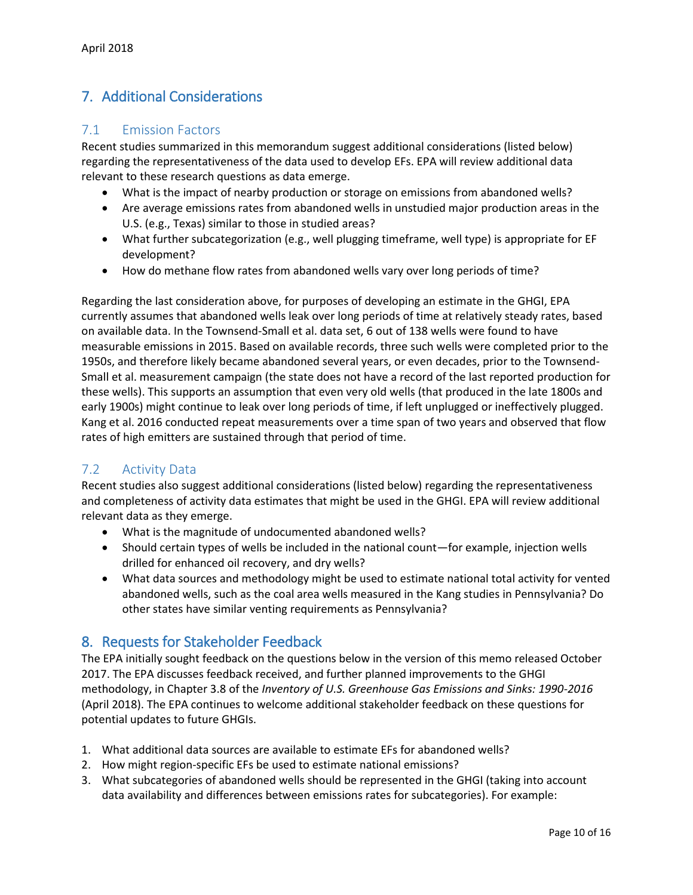# 7. Additional Considerations

### 7.1 Emission Factors

Recent studies summarized in this memorandum suggest additional considerations (listed below) regarding the representativeness of the data used to develop EFs. EPA will review additional data relevant to these research questions as data emerge.

- What is the impact of nearby production or storage on emissions from abandoned wells?
- Are average emissions rates from abandoned wells in unstudied major production areas in the U.S. (e.g., Texas) similar to those in studied areas?
- What further subcategorization (e.g., well plugging timeframe, well type) is appropriate for EF development?
- How do methane flow rates from abandoned wells vary over long periods of time?

Regarding the last consideration above, for purposes of developing an estimate in the GHGI, EPA currently assumes that abandoned wells leak over long periods of time at relatively steady rates, based on available data. In the Townsend-Small et al. data set, 6 out of 138 wells were found to have measurable emissions in 2015. Based on available records, three such wells were completed prior to the 1950s, and therefore likely became abandoned several years, or even decades, prior to the Townsend-Small et al. measurement campaign (the state does not have a record of the last reported production for these wells). This supports an assumption that even very old wells (that produced in the late 1800s and early 1900s) might continue to leak over long periods of time, if left unplugged or ineffectively plugged. Kang et al. 2016 conducted repeat measurements over a time span of two years and observed that flow rates of high emitters are sustained through that period of time.

### 7.2 Activity Data

Recent studies also suggest additional considerations (listed below) regarding the representativeness and completeness of activity data estimates that might be used in the GHGI. EPA will review additional relevant data as they emerge.

- What is the magnitude of undocumented abandoned wells?
- Should certain types of wells be included in the national count—for example, injection wells drilled for enhanced oil recovery, and dry wells?
- What data sources and methodology might be used to estimate national total activity for vented abandoned wells, such as the coal area wells measured in the Kang studies in Pennsylvania? Do other states have similar venting requirements as Pennsylvania?

### 8. Requests for Stakeholder Feedback

The EPA initially sought feedback on the questions below in the version of this memo released October 2017. The EPA discusses feedback received, and further planned improvements to the GHGI methodology, in Chapter 3.8 of the *Inventory of U.S. Greenhouse Gas Emissions and Sinks: 1990-2016* (April 2018). The EPA continues to welcome additional stakeholder feedback on these questions for potential updates to future GHGIs.

- 1. What additional data sources are available to estimate EFs for abandoned wells?
- 2. How might region-specific EFs be used to estimate national emissions?
- 3. What subcategories of abandoned wells should be represented in the GHGI (taking into account data availability and differences between emissions rates for subcategories). For example: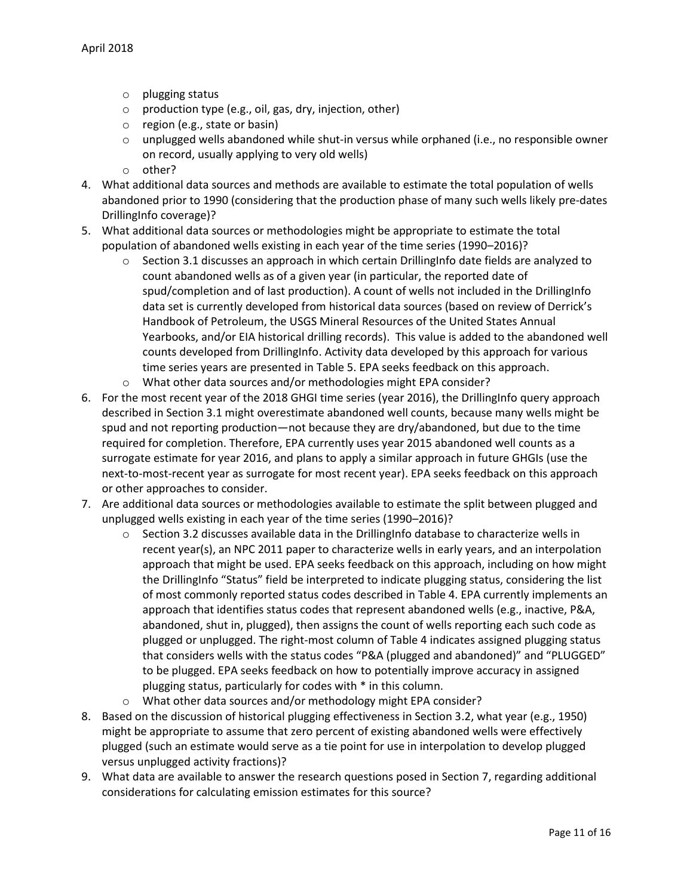- o plugging status
- o production type (e.g., oil, gas, dry, injection, other)
- o region (e.g., state or basin)
- $\circ$  unplugged wells abandoned while shut-in versus while orphaned (i.e., no responsible owner on record, usually applying to very old wells)
- o other?
- 4. What additional data sources and methods are available to estimate the total population of wells abandoned prior to 1990 (considering that the production phase of many such wells likely pre-dates DrillingInfo coverage)?
- 5. What additional data sources or methodologies might be appropriate to estimate the total population of abandoned wells existing in each year of the time series (1990–2016)?
	- Section 3.1 discusses an approach in which certain DrillingInfo date fields are analyzed to count abandoned wells as of a given year (in particular, the reported date of spud/completion and of last production). A count of wells not included in the DrillingInfo data set is currently developed from historical data sources (based on review of Derrick's Handbook of Petroleum, the USGS Mineral Resources of the United States Annual Yearbooks, and/or EIA historical drilling records). This value is added to the abandoned well counts developed from DrillingInfo. Activity data developed by this approach for various time series years are presented in [Table 5.](#page-7-0) EPA seeks feedback on this approach.
	- o What other data sources and/or methodologies might EPA consider?
- 6. For the most recent year of the 2018 GHGI time series (year 2016), the DrillingInfo query approach described in Section 3.1 might overestimate abandoned well counts, because many wells might be spud and not reporting production—not because they are dry/abandoned, but due to the time required for completion. Therefore, EPA currently uses year 2015 abandoned well counts as a surrogate estimate for year 2016, and plans to apply a similar approach in future GHGIs (use the next-to-most-recent year as surrogate for most recent year). EPA seeks feedback on this approach or other approaches to consider.
- 7. Are additional data sources or methodologies available to estimate the split between plugged and unplugged wells existing in each year of the time series (1990–2016)?
	- $\circ$  Section 3.2 discusses available data in the DrillingInfo database to characterize wells in recent year(s), an NPC 2011 paper to characterize wells in early years, and an interpolation approach that might be used. EPA seeks feedback on this approach, including on how might the DrillingInfo "Status" field be interpreted to indicate plugging status, considering the list of most commonly reported status codes described in [Table 4.](#page-4-0) EPA currently implements an approach that identifies status codes that represent abandoned wells (e.g., inactive, P&A, abandoned, shut in, plugged), then assigns the count of wells reporting each such code as plugged or unplugged. The right-most column of [Table 4](#page-4-0) indicates assigned plugging status that considers wells with the status codes "P&A (plugged and abandoned)" and "PLUGGED" to be plugged. EPA seeks feedback on how to potentially improve accuracy in assigned plugging status, particularly for codes with \* in this column.
	- o What other data sources and/or methodology might EPA consider?
- 8. Based on the discussion of historical plugging effectiveness in Section 3.2, what year (e.g., 1950) might be appropriate to assume that zero percent of existing abandoned wells were effectively plugged (such an estimate would serve as a tie point for use in interpolation to develop plugged versus unplugged activity fractions)?
- 9. What data are available to answer the research questions posed in Section 7, regarding additional considerations for calculating emission estimates for this source?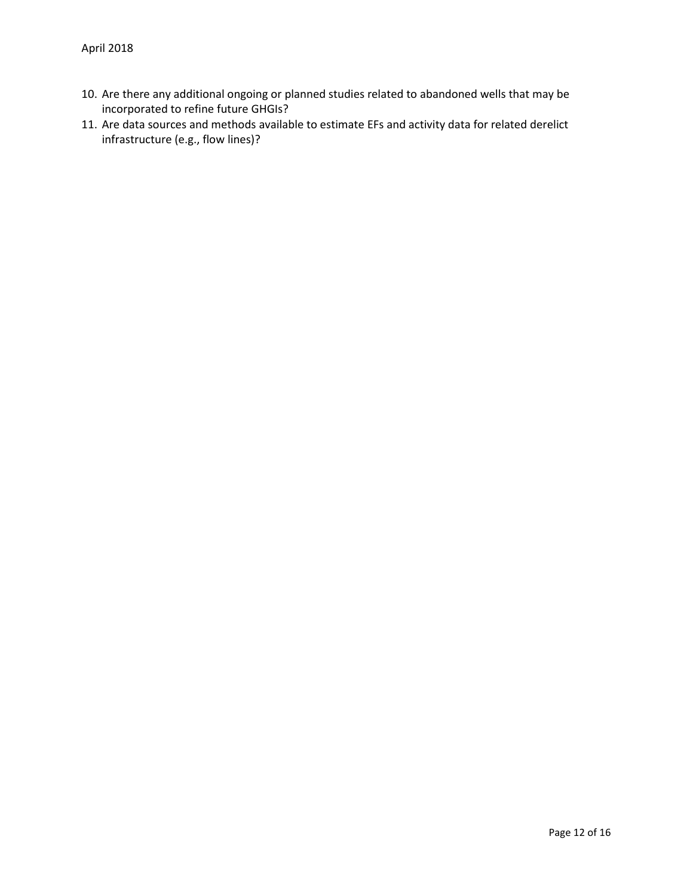- 10. Are there any additional ongoing or planned studies related to abandoned wells that may be incorporated to refine future GHGIs?
- 11. Are data sources and methods available to estimate EFs and activity data for related derelict infrastructure (e.g., flow lines)?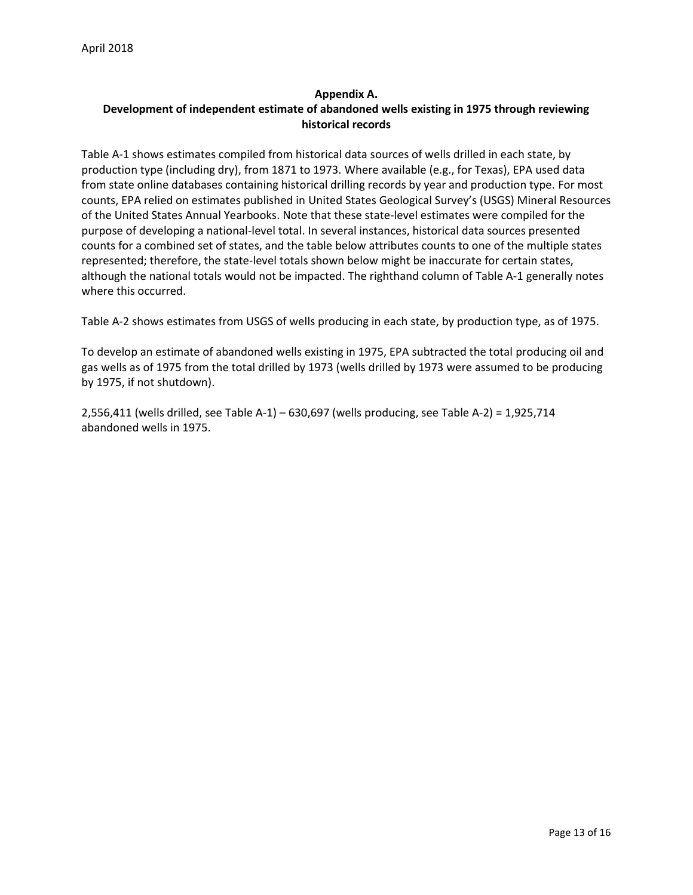### **Appendix A. Development of independent estimate of abandoned wells existing in 1975 through reviewing historical records**

Table A-1 shows estimates compiled from historical data sources of wells drilled in each state, by production type (including dry), from 1871 to 1973. Where available (e.g., for Texas), EPA used data from state online databases containing historical drilling records by year and production type. For most counts, EPA relied on estimates published in United States Geological Survey's (USGS) Mineral Resources of the United States Annual Yearbooks. Note that these state-level estimates were compiled for the purpose of developing a national-level total. In several instances, historical data sources presented counts for a combined set of states, and the table below attributes counts to one of the multiple states represented; therefore, the state-level totals shown below might be inaccurate for certain states, although the national totals would not be impacted. The righthand column of Table A-1 generally notes where this occurred.

Table A-2 shows estimates from USGS of wells producing in each state, by production type, as of 1975.

To develop an estimate of abandoned wells existing in 1975, EPA subtracted the total producing oil and gas wells as of 1975 from the total drilled by 1973 (wells drilled by 1973 were assumed to be producing by 1975, if not shutdown).

2,556,411 (wells drilled, see Table A-1) – 630,697 (wells producing, see Table A-2) = 1,925,714 abandoned wells in 1975.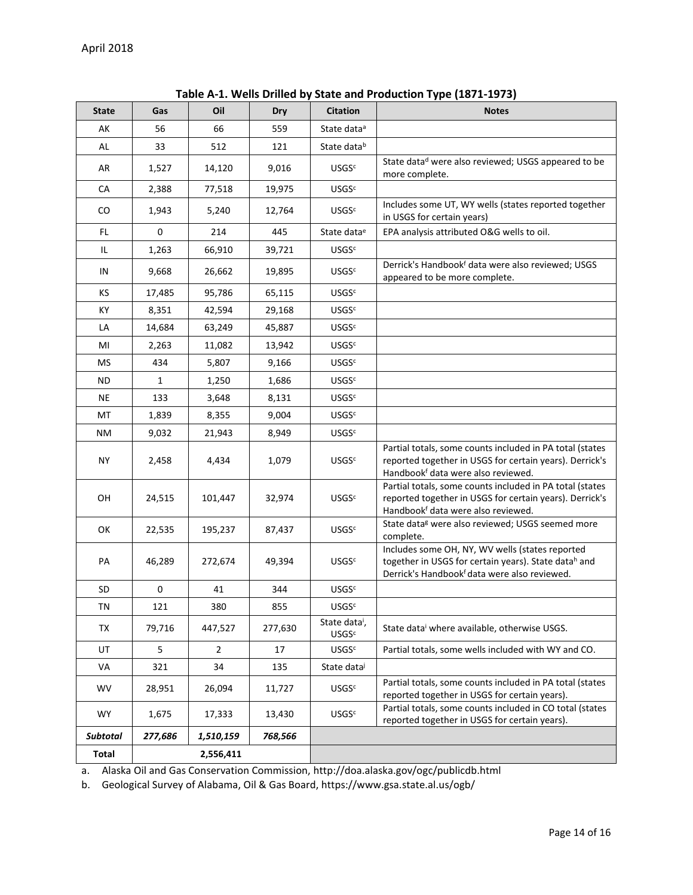| <b>State</b>    | Gas       | Oil       | Dry     | <b>Citation</b>                                      | <b>Notes</b>                                                                                                                                                          |
|-----------------|-----------|-----------|---------|------------------------------------------------------|-----------------------------------------------------------------------------------------------------------------------------------------------------------------------|
| AK              | 56        | 66        | 559     | State data <sup>a</sup>                              |                                                                                                                                                                       |
| AL              | 33        | 512       | 121     | State datab                                          |                                                                                                                                                                       |
| AR              | 1,527     | 14,120    | 9,016   | <b>USGS<sup>c</sup></b>                              | State datad were also reviewed; USGS appeared to be<br>more complete.                                                                                                 |
| CA              | 2,388     | 77,518    | 19,975  | <b>USGS<sup>c</sup></b>                              |                                                                                                                                                                       |
| CO              | 1,943     | 5,240     | 12,764  | <b>USGSc</b>                                         | Includes some UT, WY wells (states reported together<br>in USGS for certain years)                                                                                    |
| FL.             | 0         | 214       | 445     | State data <sup>e</sup>                              | EPA analysis attributed O&G wells to oil.                                                                                                                             |
| IL.             | 1,263     | 66,910    | 39,721  | <b>USGSc</b>                                         |                                                                                                                                                                       |
| IN              | 9,668     | 26,662    | 19,895  | <b>USGS<sup>c</sup></b>                              | Derrick's Handbookf data were also reviewed; USGS<br>appeared to be more complete.                                                                                    |
| ΚS              | 17,485    | 95,786    | 65,115  | <b>USGS<sup>c</sup></b>                              |                                                                                                                                                                       |
| KY              | 8,351     | 42,594    | 29,168  | <b>USGS<sup>c</sup></b>                              |                                                                                                                                                                       |
| LA              | 14,684    | 63,249    | 45,887  | <b>USGSc</b>                                         |                                                                                                                                                                       |
| MI              | 2,263     | 11,082    | 13,942  | <b>USGS<sup>c</sup></b>                              |                                                                                                                                                                       |
| ΜS              | 434       | 5,807     | 9,166   | <b>USGS<sup>c</sup></b>                              |                                                                                                                                                                       |
| ND              | 1         | 1,250     | 1,686   | <b>USGSc</b>                                         |                                                                                                                                                                       |
| <b>NE</b>       | 133       | 3,648     | 8,131   | <b>USGS<sup>c</sup></b>                              |                                                                                                                                                                       |
| МT              | 1,839     | 8,355     | 9,004   | <b>USGS<sup>c</sup></b>                              |                                                                                                                                                                       |
| <b>NM</b>       | 9,032     | 21,943    | 8,949   | <b>USGSc</b>                                         |                                                                                                                                                                       |
| ΝY              | 2,458     | 4,434     | 1,079   | <b>USGS<sup>c</sup></b>                              | Partial totals, some counts included in PA total (states<br>reported together in USGS for certain years). Derrick's<br>Handbook <sup>f</sup> data were also reviewed. |
| OН              | 24,515    | 101,447   | 32,974  | <b>USGS<sup>c</sup></b>                              | Partial totals, some counts included in PA total (states<br>reported together in USGS for certain years). Derrick's<br>Handbookf data were also reviewed.             |
| OK              | 22,535    | 195,237   | 87,437  | <b>USGSc</b>                                         | State data <sup>g</sup> were also reviewed; USGS seemed more<br>complete.                                                                                             |
| PA              | 46,289    | 272,674   | 49,394  | <b>USGS<sup>c</sup></b>                              | Includes some OH, NY, WV wells (states reported<br>together in USGS for certain years). State datah and<br>Derrick's Handbookf data were also reviewed.               |
| <b>SD</b>       | 0         | 41        | 344     | <b>USGSc</b>                                         |                                                                                                                                                                       |
| TN              | 121       | 380       | 855     | USGSc                                                |                                                                                                                                                                       |
| TX              | 79,716    | 447,527   | 277,630 | State data <sup>i</sup> ,<br><b>USGS<sup>c</sup></b> | State data where available, otherwise USGS.                                                                                                                           |
| UT              | 5         | 2         | 17      | <b>USGS<sup>c</sup></b>                              | Partial totals, some wells included with WY and CO.                                                                                                                   |
| VA              | 321       | 34        | 135     | State data                                           |                                                                                                                                                                       |
| <b>WV</b>       | 28,951    | 26,094    | 11,727  | <b>USGS<sup>c</sup></b>                              | Partial totals, some counts included in PA total (states<br>reported together in USGS for certain years).                                                             |
| <b>WY</b>       | 1,675     | 17,333    | 13,430  | <b>USGS<sup>c</sup></b>                              | Partial totals, some counts included in CO total (states<br>reported together in USGS for certain years).                                                             |
| <b>Subtotal</b> | 277,686   | 1,510,159 | 768,566 |                                                      |                                                                                                                                                                       |
| Total           | 2,556,411 |           |         |                                                      |                                                                                                                                                                       |

**Table A-1. Wells Drilled by State and Production Type (1871-1973)**

a. Alaska Oil and Gas Conservation Commission, http://doa.alaska.gov/ogc/publicdb.html

b. Geological Survey of Alabama, Oil & Gas Board, https://www.gsa.state.al.us/ogb/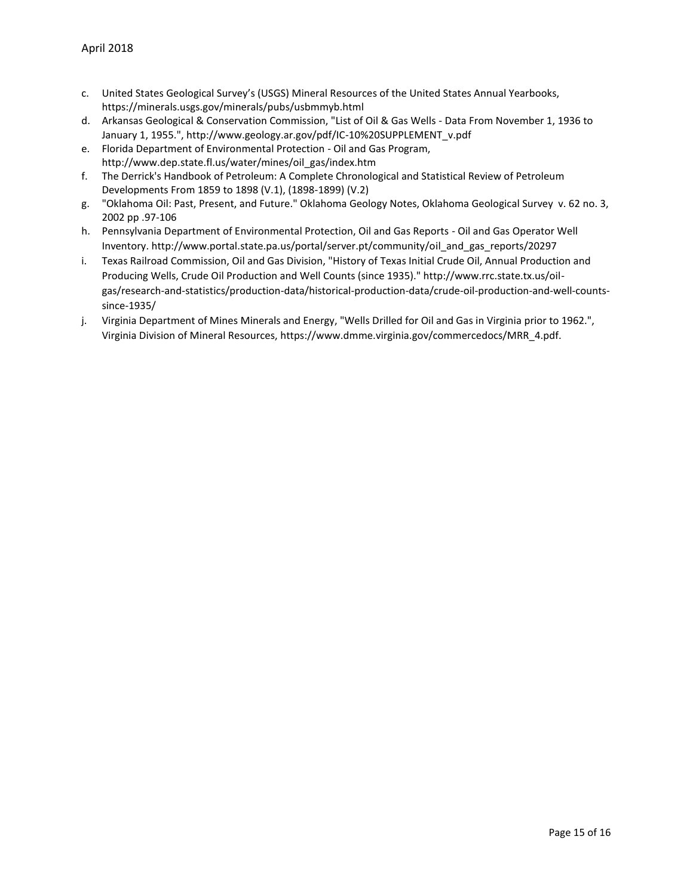- c. United States Geological Survey's (USGS) Mineral Resources of the United States Annual Yearbooks, https://minerals.usgs.gov/minerals/pubs/usbmmyb.html
- d. Arkansas Geological & Conservation Commission, "List of Oil & Gas Wells Data From November 1, 1936 to January 1, 1955.", http://www.geology.ar.gov/pdf/IC-10%20SUPPLEMENT\_v.pdf
- e. Florida Department of Environmental Protection Oil and Gas Program, http://www.dep.state.fl.us/water/mines/oil\_gas/index.htm
- f. The Derrick's Handbook of Petroleum: A Complete Chronological and Statistical Review of Petroleum Developments From 1859 to 1898 (V.1), (1898-1899) (V.2)
- g. "Oklahoma Oil: Past, Present, and Future." Oklahoma Geology Notes, Oklahoma Geological Survey v. 62 no. 3, 2002 pp .97-106
- h. Pennsylvania Department of Environmental Protection, Oil and Gas Reports Oil and Gas Operator Well Inventory. http://www.portal.state.pa.us/portal/server.pt/community/oil\_and\_gas\_reports/20297
- i. Texas Railroad Commission, Oil and Gas Division, "History of Texas Initial Crude Oil, Annual Production and Producing Wells, Crude Oil Production and Well Counts (since 1935)." http://www.rrc.state.tx.us/oilgas/research-and-statistics/production-data/historical-production-data/crude-oil-production-and-well-countssince-1935/
- j. Virginia Department of Mines Minerals and Energy, "Wells Drilled for Oil and Gas in Virginia prior to 1962.", Virginia Division of Mineral Resources, https://www.dmme.virginia.gov/commercedocs/MRR\_4.pdf.